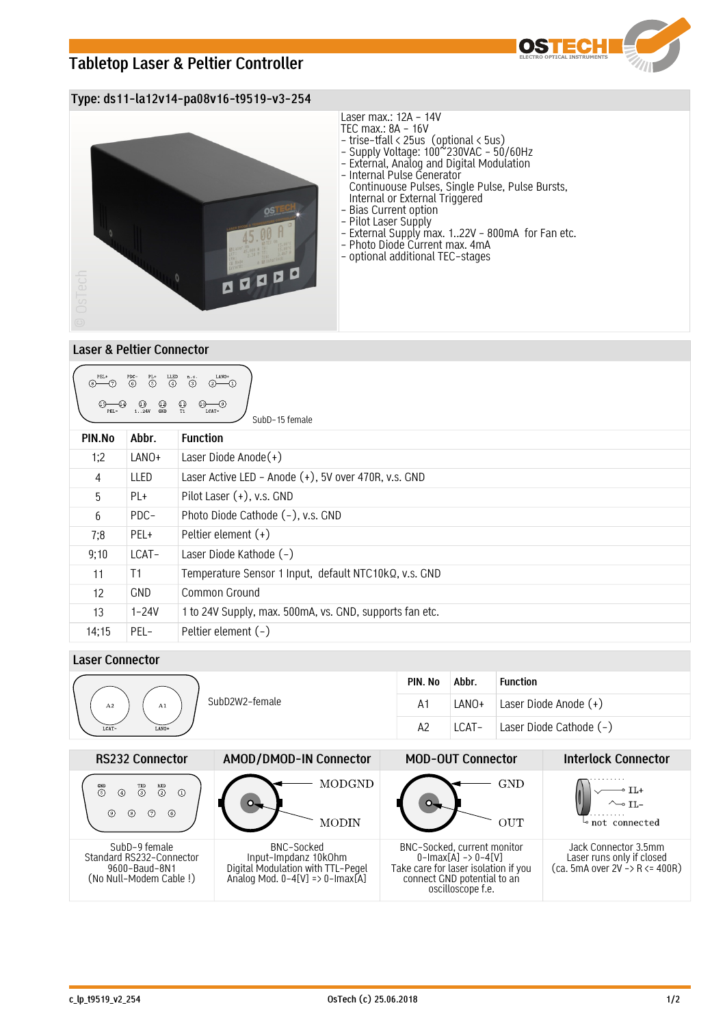# **Tabletop Laser & Peltier Controller**



### **Type: ds11-la12v14-pa08v16-t9519-v3-254**



### **Laser & Peltier Connector**

| LANO+<br>PEL+<br>$\overline{\overset{PDC}{\odot}}$<br>$\overset{\text{LED}}{\textcircled{\texttt{1}}}$<br>n.c.<br>$\overset{\mathrm{PL}+}{\odot}$<br>$\odot$<br>$\bigcirc$ $\bigcirc$<br>$\bigoplus_{T1}$<br>$^{\bigodot}_{\text{GND}}$<br>$0 - 9$<br>$(3)$<br>124V<br>LCAT-<br>SubD-15 female |            |                                                         |  |  |  |  |
|------------------------------------------------------------------------------------------------------------------------------------------------------------------------------------------------------------------------------------------------------------------------------------------------|------------|---------------------------------------------------------|--|--|--|--|
| PIN.No                                                                                                                                                                                                                                                                                         | Abbr.      | <b>Function</b>                                         |  |  |  |  |
| 1:2                                                                                                                                                                                                                                                                                            | LANO+      | Laser Diode Anode $(+)$                                 |  |  |  |  |
| 4                                                                                                                                                                                                                                                                                              | LLED       | Laser Active LED - Anode (+), 5V over 470R, v.s. GND    |  |  |  |  |
| 5                                                                                                                                                                                                                                                                                              | PL+        | Pilot Laser $(+)$ , v.s. GND                            |  |  |  |  |
| 6                                                                                                                                                                                                                                                                                              | PDC-       | Photo Diode Cathode (-), v.s. GND                       |  |  |  |  |
| 7;8                                                                                                                                                                                                                                                                                            | PEL+       | Peltier element $(+)$                                   |  |  |  |  |
| 9;10                                                                                                                                                                                                                                                                                           | LCAT-      | Laser Diode Kathode (-)                                 |  |  |  |  |
| 11                                                                                                                                                                                                                                                                                             | T1         | Temperature Sensor 1 Input, default NTC10kQ, v.s. GND   |  |  |  |  |
| 12                                                                                                                                                                                                                                                                                             | <b>GND</b> | Common Ground                                           |  |  |  |  |
| 13                                                                                                                                                                                                                                                                                             | $1 - 24V$  | 1 to 24V Supply, max. 500mA, vs. GND, supports fan etc. |  |  |  |  |
| 14;15                                                                                                                                                                                                                                                                                          | PEL-       | Peltier element (-)                                     |  |  |  |  |

## **Laser Connector**

|                            | PIN. No | Abbr. | <b>Function</b>         |
|----------------------------|---------|-------|-------------------------|
| SubD2W2-female<br>A2<br>A1 | A1      | LANO+ | Laser Diode Anode (+)   |
| LCAT-<br>LANO+             | A2      | LCAT- | Laser Diode Cathode (-) |
|                            |         |       |                         |

| <b>RS232 Connector</b>                                                                | AMOD/DMOD-IN Connector                                                                                                | <b>MOD-OUT Connector</b>                                                                                                                                          | <b>Interlock Connector</b>                                                           |
|---------------------------------------------------------------------------------------|-----------------------------------------------------------------------------------------------------------------------|-------------------------------------------------------------------------------------------------------------------------------------------------------------------|--------------------------------------------------------------------------------------|
| $RXD$<br>$(2)$<br>$\overset{\text{GND}}{5}$<br>$\Omega$<br>⊛<br>7)<br>6<br>⊚          | MODGND<br>MODIN                                                                                                       | GND<br>OUT                                                                                                                                                        | $\sim$ TI.-<br>not connected                                                         |
| SubD-9 female<br>Standard RS232-Connector<br>9600-Baud-8N1<br>(No Null–Modem Cable !) | BNC-Socked<br>Input-Impdanz 10k0hm<br>Digital Modulation with TTL-Pegel<br>Analog Mod. $0-4[V] \Rightarrow 0-Imax[A]$ | BNC-Socked, current monitor<br>$0$ -Imax $[A] \rightarrow 0$ -4 $[V]$<br>Take care for laser isolation if you<br>connect GND potential to an<br>oscilloscope f.e. | Jack Connector 3.5mm<br>Laser runs only if closed<br>$(ca. 5mA over 2V - R <= 400R)$ |